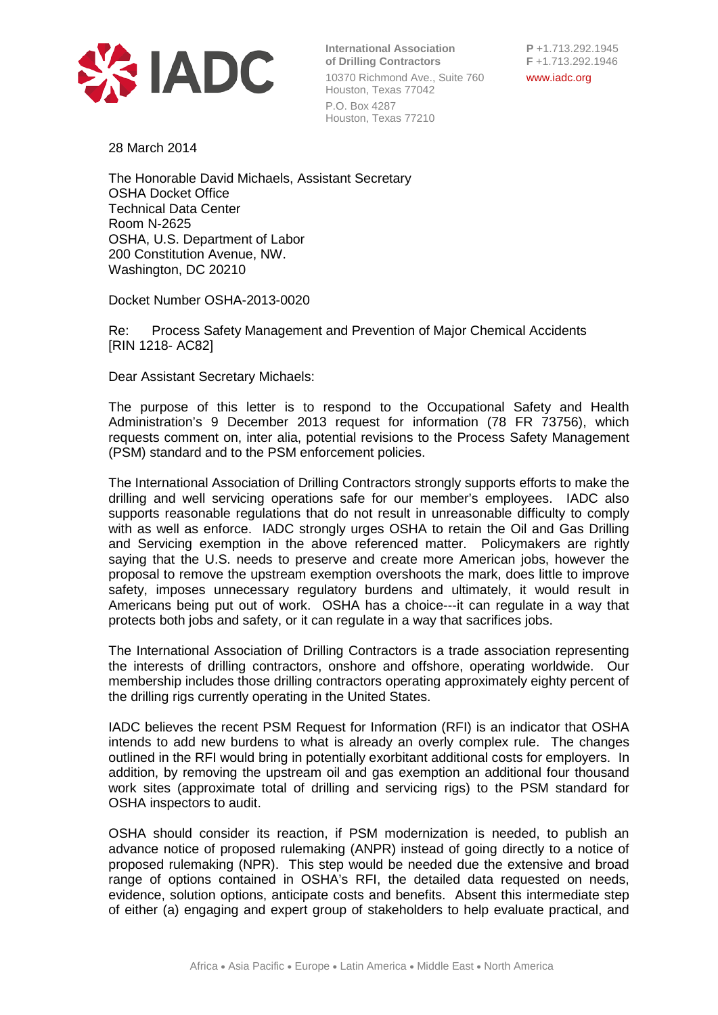

**International Association**<br> **P** +1.713.292.1945<br> **F** +1.713.292.1946 **of Drilling Contractors** 10370 Richmond Ave., Suite 760 www.iadc.org Houston, Texas 77042 P.O. Box 4287 Houston, Texas 77210

28 March 2014

The Honorable David Michaels, Assistant Secretary OSHA Docket Office Technical Data Center Room N-2625 OSHA, U.S. Department of Labor 200 Constitution Avenue, NW. Washington, DC 20210

Docket Number OSHA-2013-0020

Re: Process Safety Management and Prevention of Major Chemical Accidents [RIN 1218- AC82]

Dear Assistant Secretary Michaels:

The purpose of this letter is to respond to the Occupational Safety and Health Administration's 9 December 2013 request for information (78 FR 73756), which requests comment on, inter alia, potential revisions to the Process Safety Management (PSM) standard and to the PSM enforcement policies.

The International Association of Drilling Contractors strongly supports efforts to make the drilling and well servicing operations safe for our member's employees. IADC also supports reasonable regulations that do not result in unreasonable difficulty to comply with as well as enforce. IADC strongly urges OSHA to retain the Oil and Gas Drilling and Servicing exemption in the above referenced matter. Policymakers are rightly saying that the U.S. needs to preserve and create more American jobs, however the proposal to remove the upstream exemption overshoots the mark, does little to improve safety, imposes unnecessary regulatory burdens and ultimately, it would result in Americans being put out of work. OSHA has a choice---it can regulate in a way that protects both jobs and safety, or it can regulate in a way that sacrifices jobs.

The International Association of Drilling Contractors is a trade association representing the interests of drilling contractors, onshore and offshore, operating worldwide. Our membership includes those drilling contractors operating approximately eighty percent of the drilling rigs currently operating in the United States.

IADC believes the recent PSM Request for Information (RFI) is an indicator that OSHA intends to add new burdens to what is already an overly complex rule. The changes outlined in the RFI would bring in potentially exorbitant additional costs for employers. In addition, by removing the upstream oil and gas exemption an additional four thousand work sites (approximate total of drilling and servicing rigs) to the PSM standard for OSHA inspectors to audit.

OSHA should consider its reaction, if PSM modernization is needed, to publish an advance notice of proposed rulemaking (ANPR) instead of going directly to a notice of proposed rulemaking (NPR). This step would be needed due the extensive and broad range of options contained in OSHA's RFI, the detailed data requested on needs, evidence, solution options, anticipate costs and benefits. Absent this intermediate step of either (a) engaging and expert group of stakeholders to help evaluate practical, and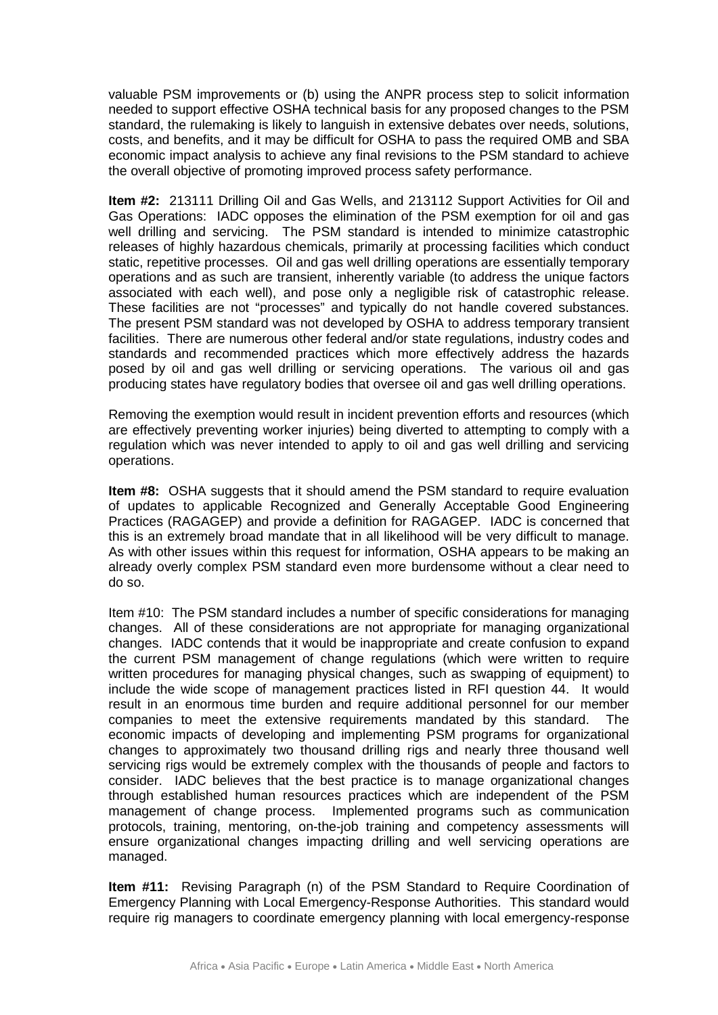valuable PSM improvements or (b) using the ANPR process step to solicit information needed to support effective OSHA technical basis for any proposed changes to the PSM standard, the rulemaking is likely to languish in extensive debates over needs, solutions, costs, and benefits, and it may be difficult for OSHA to pass the required OMB and SBA economic impact analysis to achieve any final revisions to the PSM standard to achieve the overall objective of promoting improved process safety performance.

**Item #2:** 213111 Drilling Oil and Gas Wells, and 213112 Support Activities for Oil and Gas Operations: IADC opposes the elimination of the PSM exemption for oil and gas well drilling and servicing. The PSM standard is intended to minimize catastrophic releases of highly hazardous chemicals, primarily at processing facilities which conduct static, repetitive processes. Oil and gas well drilling operations are essentially temporary operations and as such are transient, inherently variable (to address the unique factors associated with each well), and pose only a negligible risk of catastrophic release. These facilities are not "processes" and typically do not handle covered substances. The present PSM standard was not developed by OSHA to address temporary transient facilities. There are numerous other federal and/or state regulations, industry codes and standards and recommended practices which more effectively address the hazards posed by oil and gas well drilling or servicing operations. The various oil and gas producing states have regulatory bodies that oversee oil and gas well drilling operations.

Removing the exemption would result in incident prevention efforts and resources (which are effectively preventing worker injuries) being diverted to attempting to comply with a regulation which was never intended to apply to oil and gas well drilling and servicing operations.

**Item #8:** OSHA suggests that it should amend the PSM standard to require evaluation of updates to applicable Recognized and Generally Acceptable Good Engineering Practices (RAGAGEP) and provide a definition for RAGAGEP. IADC is concerned that this is an extremely broad mandate that in all likelihood will be very difficult to manage. As with other issues within this request for information, OSHA appears to be making an already overly complex PSM standard even more burdensome without a clear need to do so.

Item #10: The PSM standard includes a number of specific considerations for managing changes. All of these considerations are not appropriate for managing organizational changes. IADC contends that it would be inappropriate and create confusion to expand the current PSM management of change regulations (which were written to require written procedures for managing physical changes, such as swapping of equipment) to include the wide scope of management practices listed in RFI question 44. It would result in an enormous time burden and require additional personnel for our member companies to meet the extensive requirements mandated by this standard. The economic impacts of developing and implementing PSM programs for organizational changes to approximately two thousand drilling rigs and nearly three thousand well servicing rigs would be extremely complex with the thousands of people and factors to consider. IADC believes that the best practice is to manage organizational changes through established human resources practices which are independent of the PSM management of change process. Implemented programs such as communication protocols, training, mentoring, on-the-job training and competency assessments will ensure organizational changes impacting drilling and well servicing operations are managed.

**Item #11:** Revising Paragraph (n) of the PSM Standard to Require Coordination of Emergency Planning with Local Emergency-Response Authorities. This standard would require rig managers to coordinate emergency planning with local emergency-response